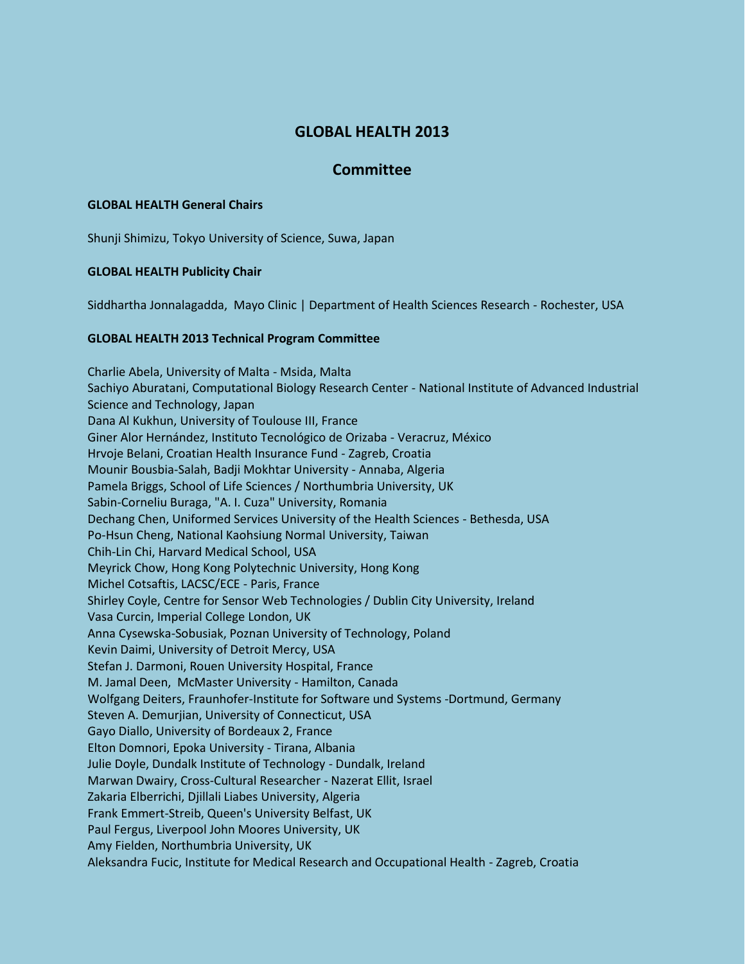# **GLOBAL HEALTH 2013**

# **Committee**

## **GLOBAL HEALTH General Chairs**

Shunji Shimizu, Tokyo University of Science, Suwa, Japan

### **GLOBAL HEALTH Publicity Chair**

Siddhartha Jonnalagadda, Mayo Clinic | Department of Health Sciences Research - Rochester, USA

### **GLOBAL HEALTH 2013 Technical Program Committee**

Charlie Abela, University of Malta - Msida, Malta Sachiyo Aburatani, Computational Biology Research Center - National Institute of Advanced Industrial Science and Technology, Japan Dana Al Kukhun, University of Toulouse III, France Giner Alor Hernández, Instituto Tecnológico de Orizaba - Veracruz, México Hrvoje Belani, Croatian Health Insurance Fund - Zagreb, Croatia Mounir Bousbia-Salah, Badji Mokhtar University - Annaba, Algeria Pamela Briggs, School of Life Sciences / Northumbria University, UK Sabin-Corneliu Buraga, "A. I. Cuza" University, Romania Dechang Chen, Uniformed Services University of the Health Sciences - Bethesda, USA Po-Hsun Cheng, National Kaohsiung Normal University, Taiwan Chih-Lin Chi, Harvard Medical School, USA Meyrick Chow, Hong Kong Polytechnic University, Hong Kong Michel Cotsaftis, LACSC/ECE - Paris, France Shirley Coyle, Centre for Sensor Web Technologies / Dublin City University, Ireland Vasa Curcin, Imperial College London, UK Anna Cysewska-Sobusiak, Poznan University of Technology, Poland Kevin Daimi, University of Detroit Mercy, USA Stefan J. Darmoni, Rouen University Hospital, France M. Jamal Deen, McMaster University - Hamilton, Canada Wolfgang Deiters, Fraunhofer-Institute for Software und Systems -Dortmund, Germany Steven A. Demurjian, University of Connecticut, USA Gayo Diallo, University of Bordeaux 2, France Elton Domnori, Epoka University - Tirana, Albania Julie Doyle, Dundalk Institute of Technology - Dundalk, Ireland Marwan Dwairy, Cross-Cultural Researcher - Nazerat Ellit, Israel Zakaria Elberrichi, Djillali Liabes University, Algeria Frank Emmert-Streib, Queen's University Belfast, UK Paul Fergus, Liverpool John Moores University, UK Amy Fielden, Northumbria University, UK Aleksandra Fucic, Institute for Medical Research and Occupational Health - Zagreb, Croatia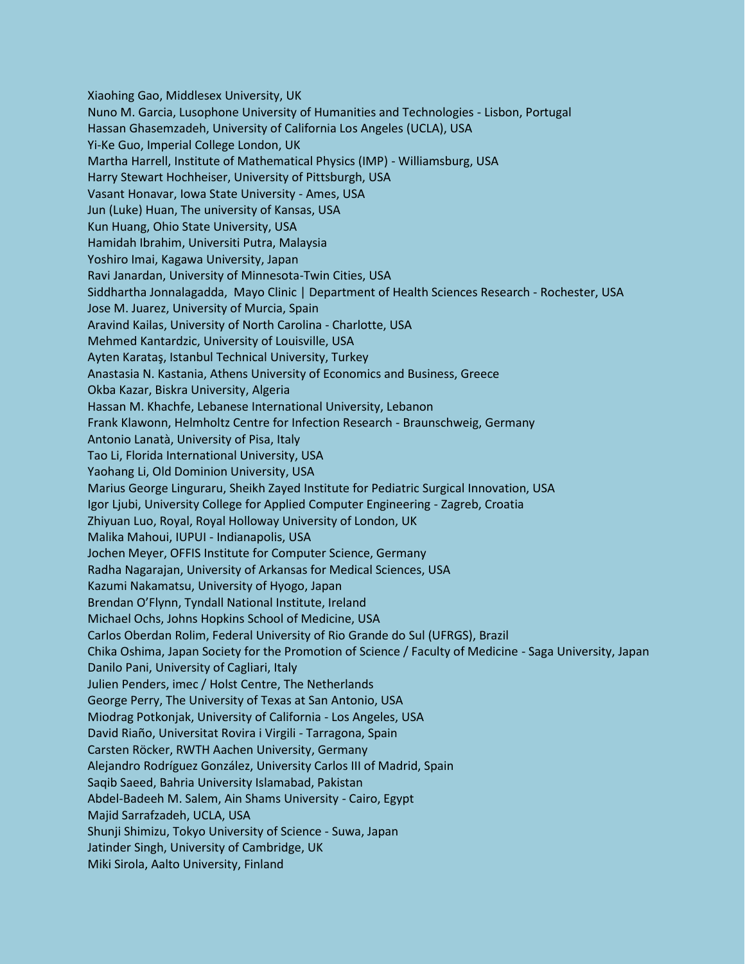Xiaohing Gao, Middlesex University, UK Nuno M. Garcia, Lusophone University of Humanities and Technologies - Lisbon, Portugal Hassan Ghasemzadeh, University of California Los Angeles (UCLA), USA Yi-Ke Guo, Imperial College London, UK Martha Harrell, Institute of Mathematical Physics (IMP) - Williamsburg, USA Harry Stewart Hochheiser, University of Pittsburgh, USA Vasant Honavar, Iowa State University - Ames, USA Jun (Luke) Huan, The university of Kansas, USA Kun Huang, Ohio State University, USA Hamidah Ibrahim, Universiti Putra, Malaysia Yoshiro Imai, Kagawa University, Japan Ravi Janardan, University of Minnesota-Twin Cities, USA Siddhartha Jonnalagadda, Mayo Clinic | Department of Health Sciences Research - Rochester, USA Jose M. Juarez, University of Murcia, Spain Aravind Kailas, University of North Carolina - Charlotte, USA Mehmed Kantardzic, University of Louisville, USA Ayten Karataş, Istanbul Technical University, Turkey Anastasia N. Kastania, Athens University of Economics and Business, Greece Okba Kazar, Biskra University, Algeria Hassan M. Khachfe, Lebanese International University, Lebanon Frank Klawonn, Helmholtz Centre for Infection Research - Braunschweig, Germany Antonio Lanatà, University of Pisa, Italy Tao Li, Florida International University, USA Yaohang Li, Old Dominion University, USA Marius George Linguraru, Sheikh Zayed Institute for Pediatric Surgical Innovation, USA Igor Ljubi, University College for Applied Computer Engineering - Zagreb, Croatia Zhiyuan Luo, Royal, Royal Holloway University of London, UK Malika Mahoui, IUPUI - Indianapolis, USA Jochen Meyer, OFFIS Institute for Computer Science, Germany Radha Nagarajan, University of Arkansas for Medical Sciences, USA Kazumi Nakamatsu, University of Hyogo, Japan Brendan O'Flynn, Tyndall National Institute, Ireland Michael Ochs, Johns Hopkins School of Medicine, USA Carlos Oberdan Rolim, Federal University of Rio Grande do Sul (UFRGS), Brazil Chika Oshima, Japan Society for the Promotion of Science / Faculty of Medicine - Saga University, Japan Danilo Pani, University of Cagliari, Italy Julien Penders, imec / Holst Centre, The Netherlands George Perry, The University of Texas at San Antonio, USA Miodrag Potkonjak, University of California - Los Angeles, USA David Riaño, Universitat Rovira i Virgili - Tarragona, Spain Carsten Röcker, RWTH Aachen University, Germany Alejandro Rodríguez González, University Carlos III of Madrid, Spain Saqib Saeed, Bahria University Islamabad, Pakistan Abdel-Badeeh M. Salem, Ain Shams University - Cairo, Egypt Majid Sarrafzadeh, UCLA, USA Shunji Shimizu, Tokyo University of Science - Suwa, Japan Jatinder Singh, University of Cambridge, UK Miki Sirola, Aalto University, Finland